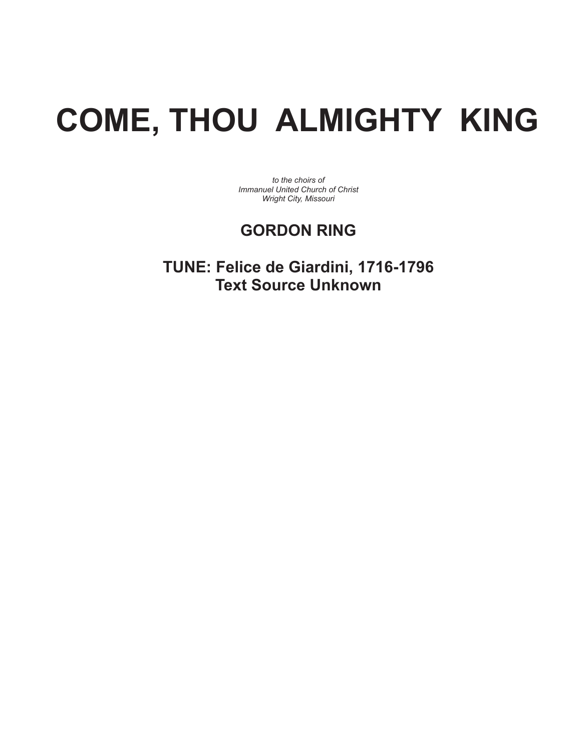## **COME, THOU ALMIGHTY KING**

*to the choirs of Immanuel United Church of Christ Wright City, Missouri* 

## **GORDON RING**

**TUNE: Felice de Giardini, 1716-1796 Text Source Unknown**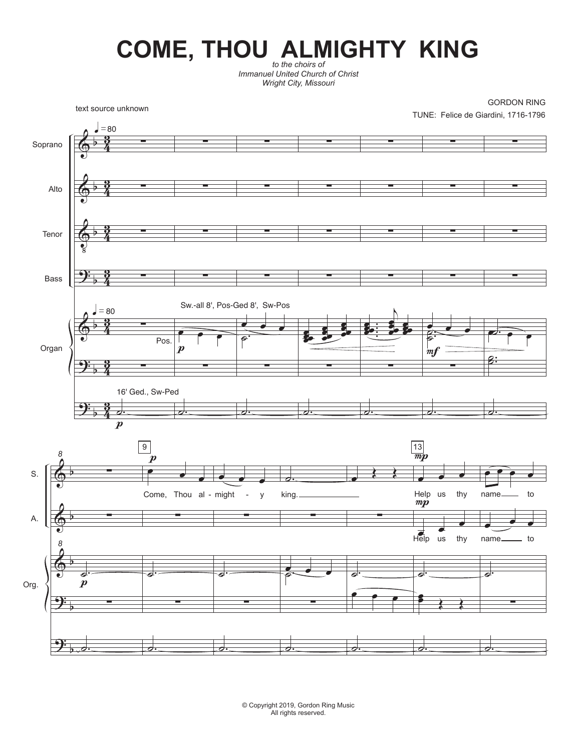## COME, THOU **ALMIGHTY** KING

*Immanuel United Church of Christ Wright City, Missouri* 



© Copyright 2019, Gordon Ring Music All rights reserved.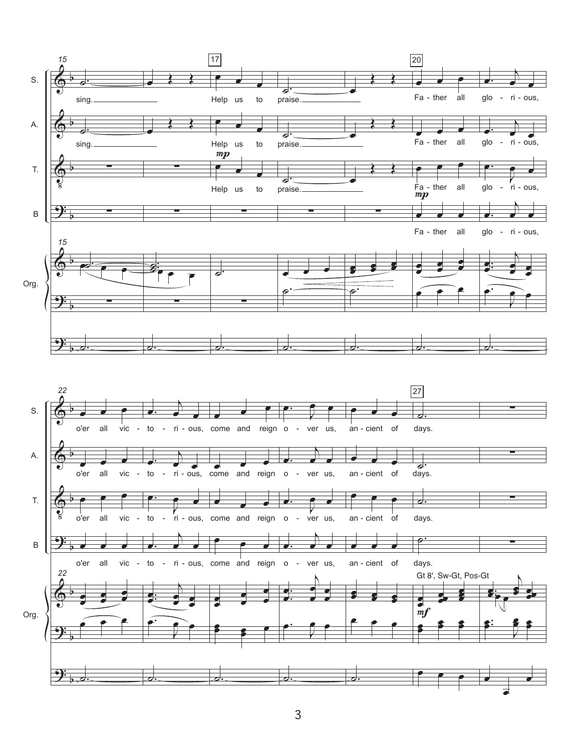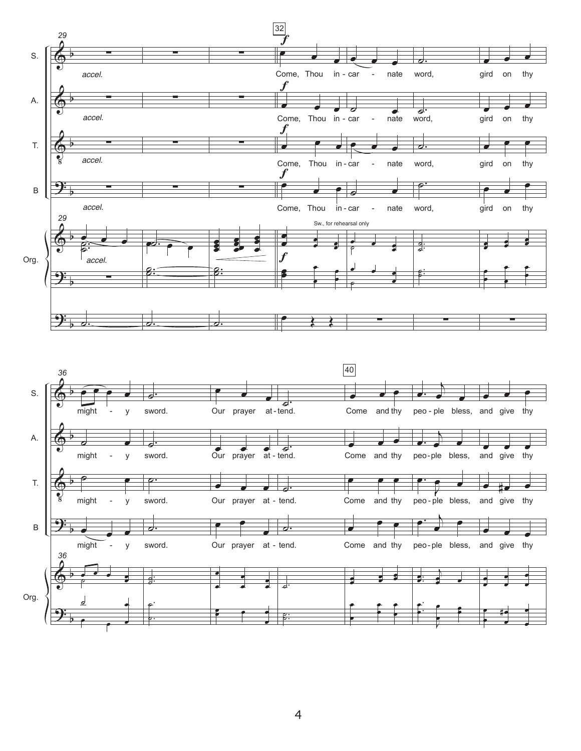

## 4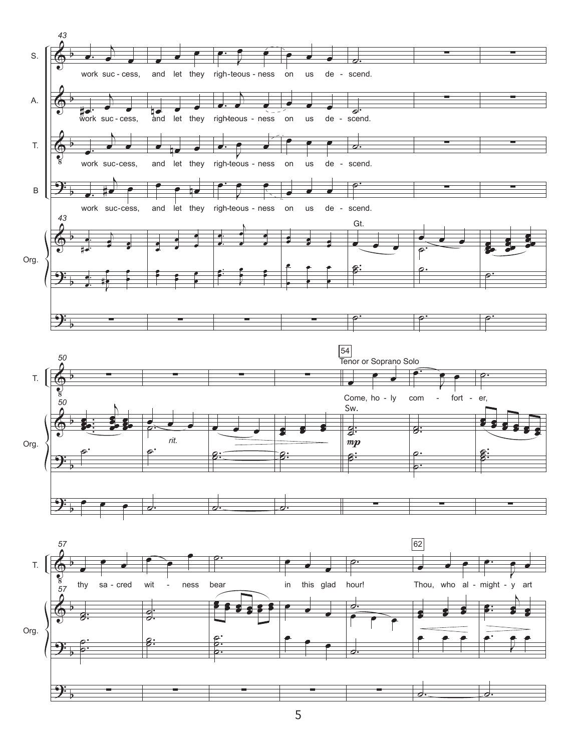

5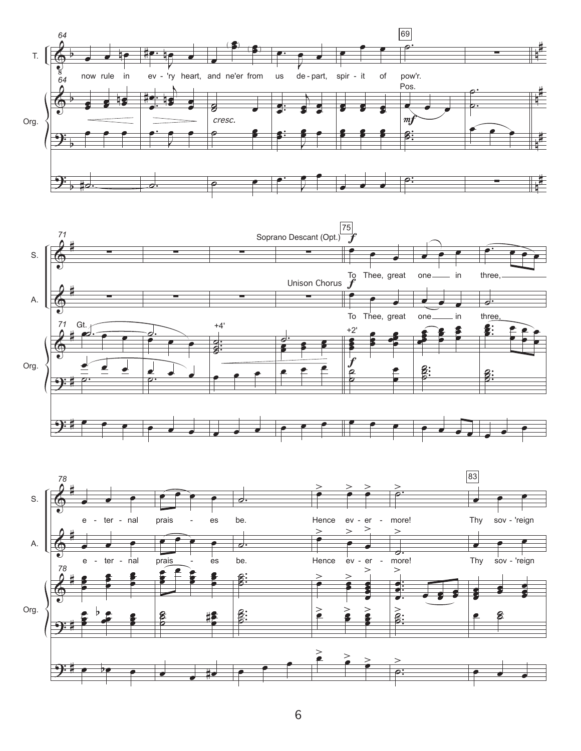